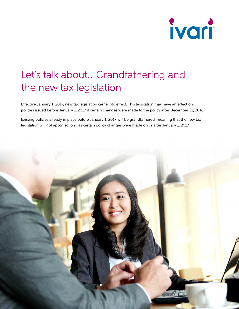

## Let's talk about…Grandfathering and the new tax legislation

Effective January 1, 2017, new tax legislation came into effect. This legislation may have an effect on policies issued before January 1, 2017 if certain changes were made to the policy after December 31, 2016.

Existing policies already in place before January 1, 2017 will be grandfathered, meaning that the new tax legislation will not apply, so long as certain policy changes were made on or after January 1, 2017.

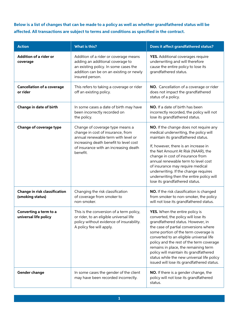**Below is a list of changes that can be made to a policy as well as whether grandfathered status will be affected. All transactions are subject to terms and conditions as specified in the contract.**

| <b>Action</b>                                     | What is this?                                                                                                                                                                                              | Does it affect grandfathered status?                                                                                                                                                                                                                                                                                                                                                                                                                             |
|---------------------------------------------------|------------------------------------------------------------------------------------------------------------------------------------------------------------------------------------------------------------|------------------------------------------------------------------------------------------------------------------------------------------------------------------------------------------------------------------------------------------------------------------------------------------------------------------------------------------------------------------------------------------------------------------------------------------------------------------|
| <b>Addition of a rider or</b><br>coverage         | Addition of a rider or coverage means<br>adding an additional coverage to<br>an existing policy. In some cases the<br>addition can be on an existing or newly<br>insured person.                           | YES. Additional coverages require<br>underwriting and will therefore<br>cause the entire policy to lose its<br>grandfathered status.                                                                                                                                                                                                                                                                                                                             |
| <b>Cancellation of a coverage</b><br>or rider     | This refers to taking a coverage or rider<br>off an existing policy.                                                                                                                                       | NO. Cancellation of a coverage or rider<br>does not impact the grandfathered<br>status of a policy.                                                                                                                                                                                                                                                                                                                                                              |
| Change in date of birth                           | In some cases a date of birth may have<br>been incorrectly recorded on<br>the policy.                                                                                                                      | NO. If a date of birth has been<br>incorrectly recorded, the policy will not<br>lose its grandfathered status.                                                                                                                                                                                                                                                                                                                                                   |
| Change of coverage type                           | Change of coverage type means a<br>change in cost of insurance, from<br>annual renewable term with level or<br>increasing death benefit to level cost<br>of insurance with an increasing death<br>benefit. | NO. If the change does not require any<br>medical underwriting, the policy will<br>maintain its grandfathered status.<br>If, however, there is an increase in<br>the Net Amount At Risk (NAAR), the<br>change in cost of insurance from<br>annual renewable term to level cost<br>of insurance may require medical<br>underwriting. If the change requires<br>underwriting then the entire policy will<br>lose its grandfathered status.                         |
| Change in risk classification<br>(smoking status) | Changing the risk classification<br>of coverage from smoker to<br>non-smoker.                                                                                                                              | NO. If the risk classification is changed<br>from smoker to non-smoker, the policy<br>will not lose its grandfathered status.                                                                                                                                                                                                                                                                                                                                    |
| Converting a term to a<br>universal life policy   | This is the conversion of a term policy,<br>or rider, to an eligible universal life<br>policy without evidence of insurability.<br>A policy fee will apply.                                                | YES. When the entire policy is<br>converted, the policy will lose its<br>grandfathered status. However, in<br>the case of partial conversions where<br>some portion of the term coverage is<br>converted to an eligible universal life<br>policy and the rest of the term coverage<br>remains in place, the remaining term<br>policy will maintain its grandfathered<br>status while the new universal life policy<br>issued will lose its grandfathered status. |
| Gender change                                     | In some cases the gender of the client<br>may have been recorded incorrectly.                                                                                                                              | NO. If there is a gender change, the<br>policy will not lose its grandfathered<br>status.                                                                                                                                                                                                                                                                                                                                                                        |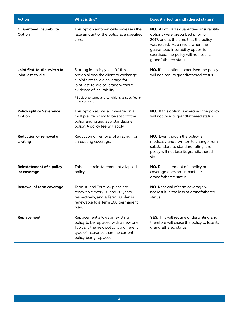| <b>Action</b>                                     | What is this?                                                                                                                                                                                                                                           | Does it affect grandfathered status?                                                                                                                                                                                                                                  |
|---------------------------------------------------|---------------------------------------------------------------------------------------------------------------------------------------------------------------------------------------------------------------------------------------------------------|-----------------------------------------------------------------------------------------------------------------------------------------------------------------------------------------------------------------------------------------------------------------------|
| <b>Guaranteed Insurability</b><br>Option          | This option automatically increases the<br>face amount of the policy at a specified<br>time.                                                                                                                                                            | NO. All of ivari's guaranteed insurability<br>options were prescribed prior to<br>2017, and at the time that the policy<br>was issued. As a result, when the<br>guaranteed insurability option is<br>exercised, the policy will not lose its<br>grandfathered status. |
| Joint first-to-die switch to<br>joint last-to-die | Starting in policy year 10,* this<br>option allows the client to exchange<br>a joint first-to-die coverage for<br>joint-last-to-die coverage without<br>evidence of insurability.<br>* Subject to terms and conditions as specified in<br>the contract. | NO. If this option is exercised the policy<br>will not lose its grandfathered status.                                                                                                                                                                                 |
| <b>Policy split or Severance</b><br>Option        | This option allows a coverage on a<br>multiple life policy to be split off the<br>policy and issued as a standalone<br>policy. A policy fee will apply.                                                                                                 | NO. If this option is exercised the policy<br>will not lose its grandfathered status.                                                                                                                                                                                 |
| <b>Reduction or removal of</b><br>a rating        | Reduction or removal of a rating from<br>an existing coverage.                                                                                                                                                                                          | NO. Even though the policy is<br>medically underwritten to change from<br>substandard to standard rating, the<br>policy will not lose its grandfathered<br>status.                                                                                                    |
| <b>Reinstatement of a policy</b><br>or coverage   | This is the reinstatement of a lapsed<br>policy.                                                                                                                                                                                                        | NO. Reinstatement of a policy or<br>coverage does not impact the<br>grandfathered status.                                                                                                                                                                             |
| Renewal of term coverage                          | Term 10 and Term 20 plans are<br>renewable every 10 and 20 years<br>respectively, and a Term 30 plan is<br>renewable to a Term 100 permanent<br>plan.                                                                                                   | NO. Renewal of term coverage will<br>not result in the loss of grandfathered<br>status.                                                                                                                                                                               |
| Replacement                                       | Replacement allows an existing<br>policy to be replaced with a new one.<br>Typically the new policy is a different<br>type of insurance than the current<br>policy being replaced.                                                                      | YES. This will require underwriting and<br>therefore will cause the policy to lose its<br>grandfathered status.                                                                                                                                                       |